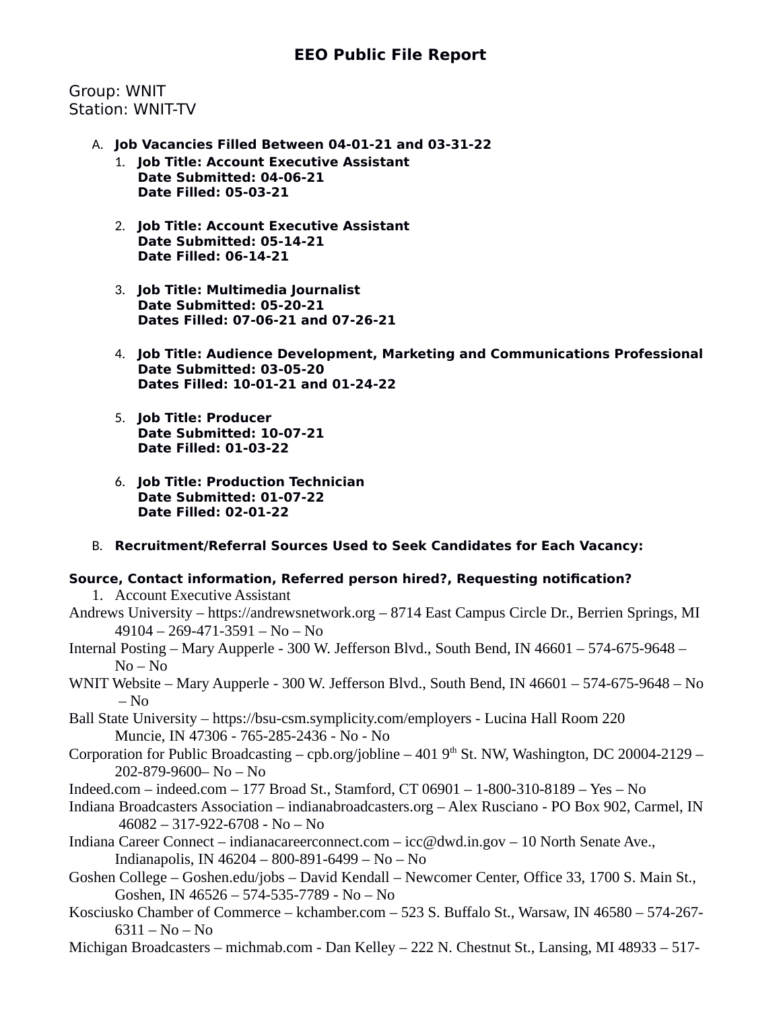# **EEO Public File Report**

Group: WNIT Station: WNIT-TV

- A. **Job Vacancies Filled Between 04-01-21 and 03-31-22**
	- 1. **Job Title: Account Executive Assistant Date Submitted: 04-06-21 Date Filled: 05-03-21**
	- 2. **Job Title: Account Executive Assistant Date Submitted: 05-14-21 Date Filled: 06-14-21**
	- 3. **Job Title: Multimedia Journalist Date Submitted: 05-20-21 Dates Filled: 07-06-21 and 07-26-21**
	- 4. **Job Title: Audience Development, Marketing and Communications Professional Date Submitted: 03-05-20 Dates Filled: 10-01-21 and 01-24-22**
	- 5. **Job Title: Producer Date Submitted: 10-07-21 Date Filled: 01-03-22**
	- 6. **Job Title: Production Technician Date Submitted: 01-07-22 Date Filled: 02-01-22**
- B. **Recruitment/Referral Sources Used to Seek Candidates for Each Vacancy:**

## **Source, Contact information, Referred person hired?, Requesting notification?**

1. Account Executive Assistant

- Andrews University https://andrewsnetwork.org 8714 East Campus Circle Dr., Berrien Springs, MI 49104 – 269-471-3591 – No – No
- Internal Posting Mary Aupperle 300 W. Jefferson Blvd., South Bend, IN 46601 574-675-9648 No – No
- WNIT Website Mary Aupperle 300 W. Jefferson Blvd., South Bend, IN 46601 574-675-9648 No  $-$  No
- Ball State University https://bsu-csm.symplicity.com/employers Lucina Hall Room 220 Muncie, IN 47306 - 765-285-2436 - No - No
- Corporation for Public Broadcasting cpb.org/jobline 401  $9<sup>th</sup>$  St. NW, Washington, DC 20004-2129 202-879-9600– No – No
- Indeed.com indeed.com 177 Broad St., Stamford, CT 06901 1-800-310-8189 Yes No
- Indiana Broadcasters Association indianabroadcasters.org Alex Rusciano PO Box 902, Carmel, IN 46082 – 317-922-6708 - No – No
- Indiana Career Connect indianacareerconnect.com icc@dwd.in.gov 10 North Senate Ave., Indianapolis, IN 46204 – 800-891-6499 – No – No
- Goshen College Goshen.edu/jobs David Kendall Newcomer Center, Office 33, 1700 S. Main St., Goshen, IN 46526 – 574-535-7789 - No – No
- Kosciusko Chamber of Commerce kchamber.com 523 S. Buffalo St., Warsaw, IN 46580 574-267-  $6311 - No - No$
- Michigan Broadcasters michmab.com Dan Kelley 222 N. Chestnut St., Lansing, MI 48933 517-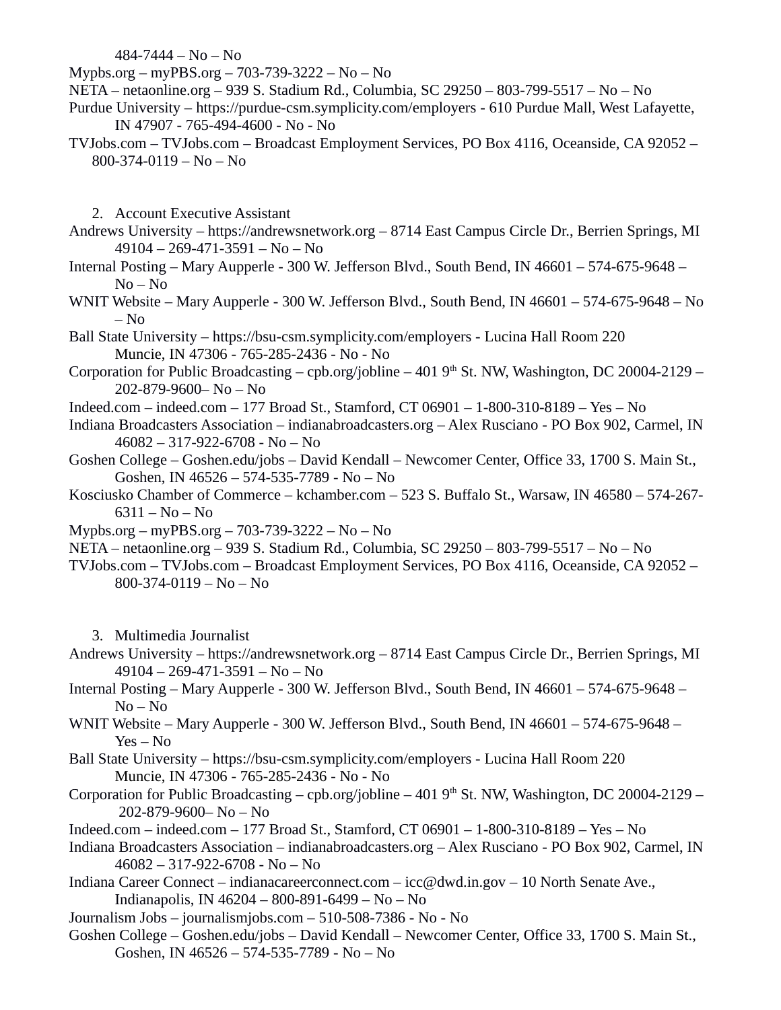484-7444 – No – No

Mypbs.org – myPBS.org – 703-739-3222 – No – No

- NETA netaonline.org 939 S. Stadium Rd., Columbia, SC 29250 803-799-5517 No No
- Purdue University https://purdue-csm.symplicity.com/employers 610 Purdue Mall, West Lafayette, IN 47907 - 765-494-4600 - No - No
- TVJobs.com TVJobs.com Broadcast Employment Services, PO Box 4116, Oceanside, CA 92052 800-374-0119 – No – No

2. Account Executive Assistant

- Andrews University https://andrewsnetwork.org 8714 East Campus Circle Dr., Berrien Springs, MI 49104 – 269-471-3591 – No – No
- Internal Posting Mary Aupperle 300 W. Jefferson Blvd., South Bend, IN 46601 574-675-9648 No – No
- WNIT Website Mary Aupperle 300 W. Jefferson Blvd., South Bend, IN 46601 574-675-9648 No – No
- Ball State University https://bsu-csm.symplicity.com/employers Lucina Hall Room 220 Muncie, IN 47306 - 765-285-2436 - No - No
- Corporation for Public Broadcasting cpb.org/jobline 401  $9<sup>th</sup>$  St. NW, Washington, DC 20004-2129 202-879-9600– No – No
- Indeed.com indeed.com 177 Broad St., Stamford, CT 06901 1-800-310-8189 Yes No
- Indiana Broadcasters Association indianabroadcasters.org Alex Rusciano PO Box 902, Carmel, IN 46082 – 317-922-6708 - No – No
- Goshen College Goshen.edu/jobs David Kendall Newcomer Center, Office 33, 1700 S. Main St., Goshen, IN 46526 – 574-535-7789 - No – No
- Kosciusko Chamber of Commerce kchamber.com 523 S. Buffalo St., Warsaw, IN 46580 574-267- 6311 – No – No
- Mypbs.org myPBS.org 703-739-3222 No No
- NETA netaonline.org 939 S. Stadium Rd., Columbia, SC 29250 803-799-5517 No No
- TVJobs.com TVJobs.com Broadcast Employment Services, PO Box 4116, Oceanside, CA 92052 800-374-0119 – No – No

3. Multimedia Journalist

- Andrews University https://andrewsnetwork.org 8714 East Campus Circle Dr., Berrien Springs, MI 49104 – 269-471-3591 – No – No
- Internal Posting Mary Aupperle 300 W. Jefferson Blvd., South Bend, IN 46601 574-675-9648 No – No
- WNIT Website Mary Aupperle 300 W. Jefferson Blvd., South Bend, IN 46601 574-675-9648 Yes – No
- Ball State University https://bsu-csm.symplicity.com/employers Lucina Hall Room 220 Muncie, IN 47306 - 765-285-2436 - No - No
- Corporation for Public Broadcasting cpb.org/jobline 401  $9<sup>th</sup>$  St. NW, Washington, DC 20004-2129 202-879-9600– No – No
- Indeed.com indeed.com 177 Broad St., Stamford, CT 06901 1-800-310-8189 Yes No
- Indiana Broadcasters Association indianabroadcasters.org Alex Rusciano PO Box 902, Carmel, IN 46082 – 317-922-6708 - No – No
- Indiana Career Connect indianacareerconnect.com icc@dwd.in.gov 10 North Senate Ave., Indianapolis, IN 46204 – 800-891-6499 – No – No
- Journalism Jobs journalismjobs.com 510-508-7386 No No
- Goshen College Goshen.edu/jobs David Kendall Newcomer Center, Office 33, 1700 S. Main St., Goshen, IN 46526 – 574-535-7789 - No – No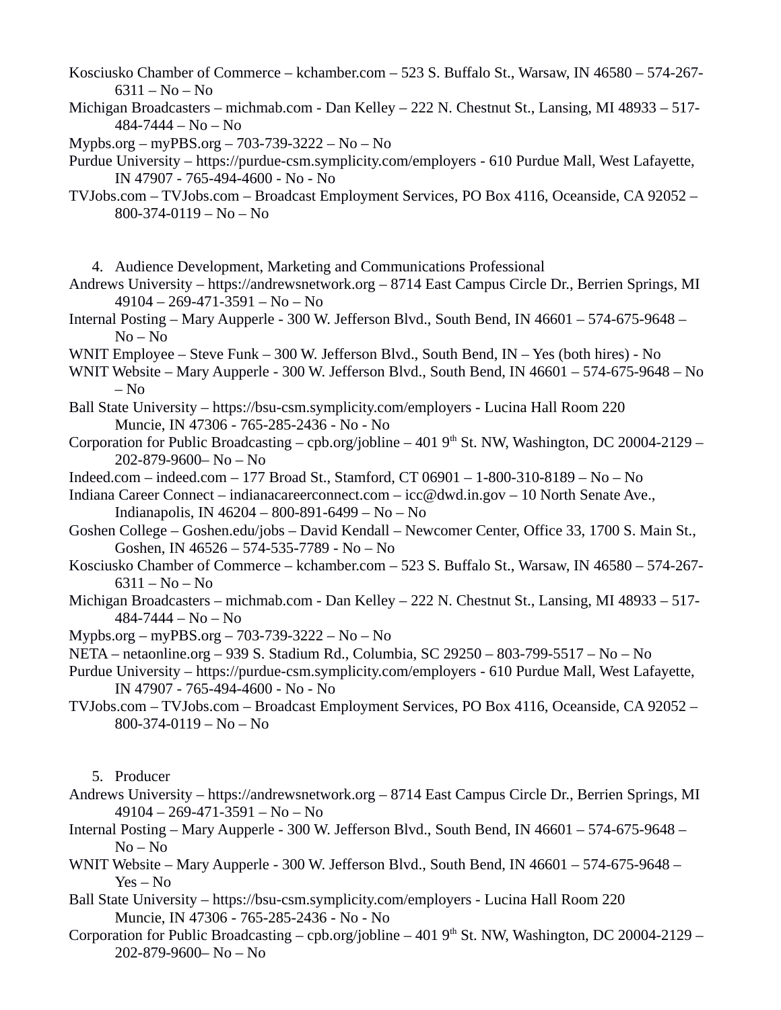Kosciusko Chamber of Commerce – kchamber.com – 523 S. Buffalo St., Warsaw, IN 46580 – 574-267- 6311 – No – No

- Michigan Broadcasters michmab.com Dan Kelley 222 N. Chestnut St., Lansing, MI 48933 517- 484-7444 – No – No
- Mypbs.org myPBS.org 703-739-3222 No No
- Purdue University https://purdue-csm.symplicity.com/employers 610 Purdue Mall, West Lafayette, IN 47907 - 765-494-4600 - No - No
- TVJobs.com TVJobs.com Broadcast Employment Services, PO Box 4116, Oceanside, CA 92052 800-374-0119 – No – No
- 4. Audience Development, Marketing and Communications Professional
- Andrews University https://andrewsnetwork.org 8714 East Campus Circle Dr., Berrien Springs, MI 49104 – 269-471-3591 – No – No
- Internal Posting Mary Aupperle 300 W. Jefferson Blvd., South Bend, IN 46601 574-675-9648 No – No
- WNIT Employee Steve Funk 300 W. Jefferson Blvd., South Bend, IN Yes (both hires) No
- WNIT Website Mary Aupperle 300 W. Jefferson Blvd., South Bend, IN 46601 574-675-9648 No – No
- Ball State University https://bsu-csm.symplicity.com/employers Lucina Hall Room 220 Muncie, IN 47306 - 765-285-2436 - No - No
- Corporation for Public Broadcasting cpb.org/jobline 401  $9<sup>th</sup>$  St. NW, Washington, DC 20004-2129 202-879-9600– No – No
- Indeed.com indeed.com 177 Broad St., Stamford, CT 06901 1-800-310-8189 No No
- Indiana Career Connect indianacareerconnect.com icc@dwd.in.gov 10 North Senate Ave., Indianapolis, IN 46204 – 800-891-6499 – No – No
- Goshen College Goshen.edu/jobs David Kendall Newcomer Center, Office 33, 1700 S. Main St., Goshen, IN 46526 – 574-535-7789 - No – No
- Kosciusko Chamber of Commerce kchamber.com 523 S. Buffalo St., Warsaw, IN 46580 574-267- 6311 – No – No
- Michigan Broadcasters michmab.com Dan Kelley 222 N. Chestnut St., Lansing, MI 48933 517- 484-7444 – No – No
- Mypbs.org myPBS.org 703-739-3222 No No
- NETA netaonline.org 939 S. Stadium Rd., Columbia, SC 29250 803-799-5517 No No
- Purdue University https://purdue-csm.symplicity.com/employers 610 Purdue Mall, West Lafayette, IN 47907 - 765-494-4600 - No - No
- TVJobs.com TVJobs.com Broadcast Employment Services, PO Box 4116, Oceanside, CA 92052 800-374-0119 – No – No

5. Producer

- Andrews University https://andrewsnetwork.org 8714 East Campus Circle Dr., Berrien Springs, MI 49104 – 269-471-3591 – No – No
- Internal Posting Mary Aupperle 300 W. Jefferson Blvd., South Bend, IN 46601 574-675-9648 No – No
- WNIT Website Mary Aupperle 300 W. Jefferson Blvd., South Bend, IN 46601 574-675-9648 Yes – No
- Ball State University https://bsu-csm.symplicity.com/employers Lucina Hall Room 220 Muncie, IN 47306 - 765-285-2436 - No - No
- Corporation for Public Broadcasting cpb.org/jobline 401  $9<sup>th</sup>$  St. NW, Washington, DC 20004-2129 202-879-9600– No – No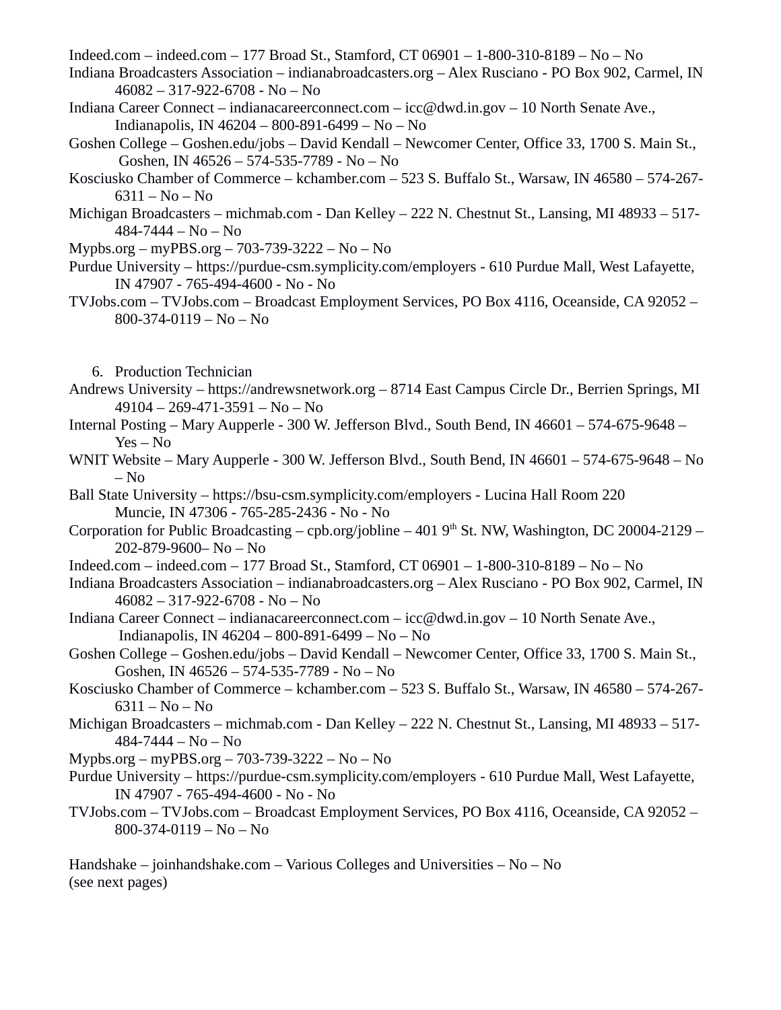Indeed.com – indeed.com – 177 Broad St., Stamford, CT 06901 – 1-800-310-8189 – No – No

- Indiana Broadcasters Association indianabroadcasters.org Alex Rusciano PO Box 902, Carmel, IN 46082 – 317-922-6708 - No – No
- Indiana Career Connect indianacareerconnect.com icc@dwd.in.gov 10 North Senate Ave., Indianapolis, IN 46204 – 800-891-6499 – No – No
- Goshen College Goshen.edu/jobs David Kendall Newcomer Center, Office 33, 1700 S. Main St., Goshen, IN 46526 – 574-535-7789 - No – No
- Kosciusko Chamber of Commerce kchamber.com 523 S. Buffalo St., Warsaw, IN 46580 574-267- 6311 – No – No
- Michigan Broadcasters michmab.com Dan Kelley 222 N. Chestnut St., Lansing, MI 48933 517- 484-7444 – No – No
- Mypbs.org myPBS.org 703-739-3222 No No
- Purdue University https://purdue-csm.symplicity.com/employers 610 Purdue Mall, West Lafayette, IN 47907 - 765-494-4600 - No - No
- TVJobs.com TVJobs.com Broadcast Employment Services, PO Box 4116, Oceanside, CA 92052 800-374-0119 – No – No
	- 6. Production Technician
- Andrews University https://andrewsnetwork.org 8714 East Campus Circle Dr., Berrien Springs, MI 49104 – 269-471-3591 – No – No
- Internal Posting Mary Aupperle 300 W. Jefferson Blvd., South Bend, IN 46601 574-675-9648 Yes – No
- WNIT Website Mary Aupperle 300 W. Jefferson Blvd., South Bend, IN 46601 574-675-9648 No – No
- Ball State University https://bsu-csm.symplicity.com/employers Lucina Hall Room 220 Muncie, IN 47306 - 765-285-2436 - No - No
- Corporation for Public Broadcasting cpb.org/jobline 401  $9<sup>th</sup>$  St. NW, Washington, DC 20004-2129 202-879-9600– No – No
- Indeed.com indeed.com 177 Broad St., Stamford, CT 06901 1-800-310-8189 No No
- Indiana Broadcasters Association indianabroadcasters.org Alex Rusciano PO Box 902, Carmel, IN 46082 – 317-922-6708 - No – No
- Indiana Career Connect indianacareerconnect.com icc@dwd.in.gov 10 North Senate Ave., Indianapolis, IN 46204 – 800-891-6499 – No – No
- Goshen College Goshen.edu/jobs David Kendall Newcomer Center, Office 33, 1700 S. Main St., Goshen, IN 46526 – 574-535-7789 - No – No
- Kosciusko Chamber of Commerce kchamber.com 523 S. Buffalo St., Warsaw, IN 46580 574-267- 6311 – No – No
- Michigan Broadcasters michmab.com Dan Kelley 222 N. Chestnut St., Lansing, MI 48933 517- 484-7444 – No – No
- Mypbs.org myPBS.org 703-739-3222 No No
- Purdue University https://purdue-csm.symplicity.com/employers 610 Purdue Mall, West Lafayette, IN 47907 - 765-494-4600 - No - No
- TVJobs.com TVJobs.com Broadcast Employment Services, PO Box 4116, Oceanside, CA 92052 800-374-0119 – No – No

Handshake – joinhandshake.com – Various Colleges and Universities – No – No (see next pages)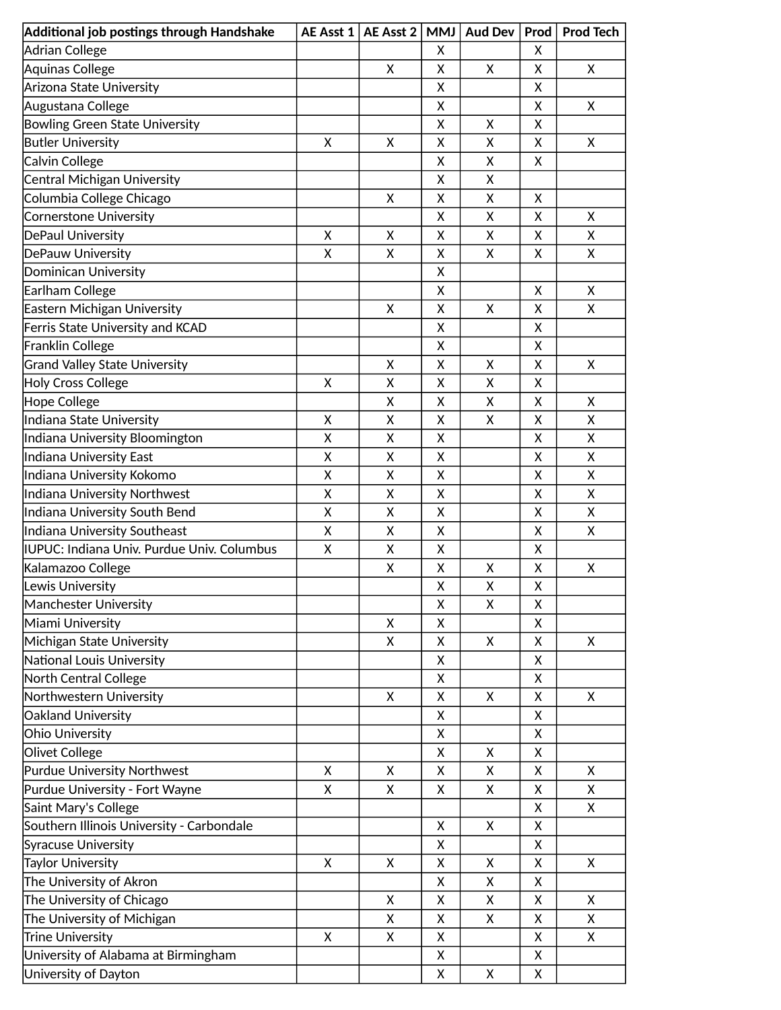| Additional job postings through Handshake  |   | AE Asst $1$   AE Asst 2 | <b>MMJ</b> | Aud Dev | Prod | <b>Prod Tech</b> |
|--------------------------------------------|---|-------------------------|------------|---------|------|------------------|
| <b>Adrian College</b>                      |   |                         | X          |         | X    |                  |
| Aquinas College                            |   | Χ                       | Χ          | X       | X    | X                |
| Arizona State University                   |   |                         | x          |         | X    |                  |
| Augustana College                          |   |                         | Χ          |         | X    | X                |
| <b>Bowling Green State University</b>      |   |                         | Χ          | X       | X    |                  |
| <b>Butler University</b>                   | X | X                       | Χ          | X       | X    | X                |
| Calvin College                             |   |                         | Χ          | X       | X    |                  |
| Central Michigan University                |   |                         | Χ          | X       |      |                  |
| Columbia College Chicago                   |   | Χ                       | Χ          | X       | X    |                  |
| <b>Cornerstone University</b>              |   |                         | Χ          | X       | X    | Χ                |
| DePaul University                          | X | Χ                       | Χ          | X       | X    | X                |
| DePauw University                          | X | X                       | X          | X       | X    | X                |
| Dominican University                       |   |                         | Χ          |         |      |                  |
| Earlham College                            |   |                         | Χ          |         | X    | X                |
| Eastern Michigan University                |   | X                       | X          | X       | X    | X                |
| Ferris State University and KCAD           |   |                         | X          |         | X    |                  |
| Franklin College                           |   |                         | X          |         | X    |                  |
| <b>Grand Valley State University</b>       |   | Χ                       | X          | X       | X    | X                |
| <b>Holy Cross College</b>                  | X | Χ                       | Χ          | X       | Χ    |                  |
| <b>Hope College</b>                        |   | X                       | X          | X       | X    | X                |
| Indiana State University                   | X | X                       | X          | X       | X    | X                |
| Indiana University Bloomington             | X | Χ                       | X          |         | X    | Χ                |
| Indiana University East                    | X | Χ                       | Χ          |         | X    | Χ                |
| Indiana University Kokomo                  | X | Χ                       | Χ          |         | X    | Χ                |
| <b>Indiana University Northwest</b>        | X | Χ                       | Χ          |         | X    | Χ                |
| Indiana University South Bend              | X | X                       | Χ          |         | X    | Χ                |
| <b>Indiana University Southeast</b>        | X | X                       | Χ          |         | X    | Χ                |
| IUPUC: Indiana Univ. Purdue Univ. Columbus | X | X                       | Χ          |         | X    |                  |
| Kalamazoo College                          |   | Χ                       | Χ          | Χ       | X    | Χ                |
| Lewis University                           |   |                         | Χ          | X       | Χ    |                  |
| Manchester University                      |   |                         | Χ          | X       | Χ    |                  |
| Miami University                           |   | X                       | X          |         | X    |                  |
| Michigan State University                  |   | X                       | Χ          | X       | X    | X                |
| National Louis University                  |   |                         | Χ          |         | Χ    |                  |
| North Central College                      |   |                         | X          |         | X    |                  |
| Northwestern University                    |   | Χ                       | Χ          | X       | X    | X                |
| Oakland University                         |   |                         | Χ          |         | X    |                  |
| <b>Ohio University</b>                     |   |                         | Χ          |         | X    |                  |
| Olivet College                             |   |                         | Χ          | X       | X    |                  |
| <b>Purdue University Northwest</b>         | X | X                       | Χ          | X       | X    | X                |
| Purdue University - Fort Wayne             | X | Χ                       | X          | X       | X    | X                |
| Saint Mary's College                       |   |                         |            |         | X    | x                |
| Southern Illinois University - Carbondale  |   |                         | X          | X       | X    |                  |
| <b>Syracuse University</b>                 |   |                         | X          |         | X    |                  |
| <b>Taylor University</b>                   | X | X                       | Χ          | X       | X    | X                |
| The University of Akron                    |   |                         | Χ          | X       | X    |                  |
| The University of Chicago                  |   | Χ                       | X          | X       | X    | X                |
| The University of Michigan                 |   | Χ                       | Χ          | X       | X    | Χ                |
| <b>Trine University</b>                    | X | Χ                       | X          |         | X    | X                |
| University of Alabama at Birmingham        |   |                         | X          |         | X    |                  |
| University of Dayton                       |   |                         | Χ          | X       | X    |                  |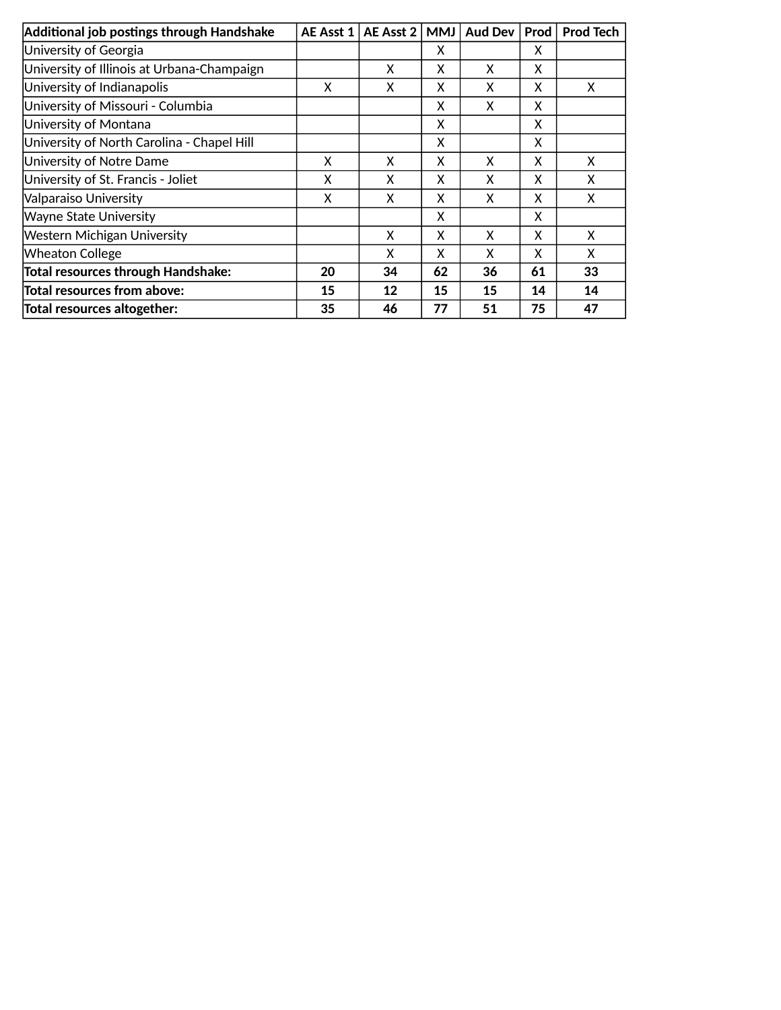| Additional job postings through Handshake  | AE Asst 1 | AE Asst 2 | <b>MMJ</b> | <b>Aud Dev</b> | Prod | <b>Prod Tech</b> |
|--------------------------------------------|-----------|-----------|------------|----------------|------|------------------|
| University of Georgia                      |           |           | x          |                | X    |                  |
| University of Illinois at Urbana-Champaign |           | X         | x          | X              | X    |                  |
| University of Indianapolis                 | X         | x         | x          | x              | X    | x                |
| University of Missouri - Columbia          |           |           | x          | X              | X    |                  |
| University of Montana                      |           |           | x          |                | X    |                  |
| University of North Carolina - Chapel Hill |           |           | X          |                | X    |                  |
| University of Notre Dame                   | X         | X         | x          | X              | X    | X                |
| University of St. Francis - Joliet         | X         | X         | X          | X              | X    | X                |
| Valparaiso University                      | X         | X         | x          | X              | X    | x                |
| <b>Wayne State University</b>              |           |           | X          |                | X    |                  |
| Western Michigan University                |           | X         | x          | X              | X    | x                |
| <b>Wheaton College</b>                     |           | X         | X          | X              | X    | X                |
| <b>Total resources through Handshake:</b>  | 20        | 34        | 62         | 36             | 61   | 33               |
| <b>Total resources from above:</b>         | 15        | 12        | 15         | 15             | 14   | 14               |
| Total resources altogether:                | 35        | 46        | 77         | 51             | 75   | 47               |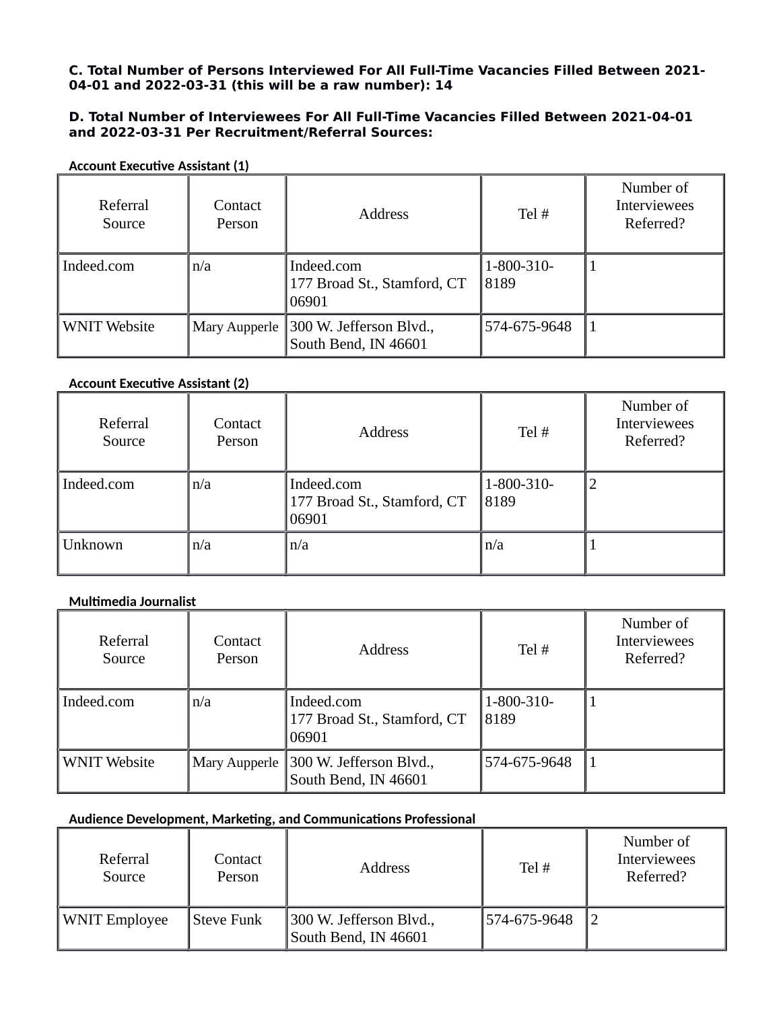#### **C. Total Number of Persons Interviewed For All Full-Time Vacancies Filled Between 2021- 04-01 and 2022-03-31 (this will be a raw number): 14**

#### **D. Total Number of Interviewees For All Full-Time Vacancies Filled Between 2021-04-01 and 2022-03-31 Per Recruitment/Referral Sources:**

| Referral<br>Source  | Contact<br>Person | <b>Address</b>                                                | Tel#               | Number of<br><b>Interviewees</b><br>Referred? |
|---------------------|-------------------|---------------------------------------------------------------|--------------------|-----------------------------------------------|
| Indeed.com          | n/a               | Indeed.com<br>177 Broad St., Stamford, CT<br>06901            | 1-800-310-<br>8189 |                                               |
| <b>WNIT Website</b> |                   | Mary Aupperle 300 W. Jefferson Blvd.,<br>South Bend, IN 46601 | 574-675-9648       |                                               |

**Account Executive Assistant (1)**

#### **Account Executive Assistant (2)**

| Referral<br>Source | Contact<br>Person | <b>Address</b>                                     | Tel #               | Number of<br>Interviewees<br>Referred? |
|--------------------|-------------------|----------------------------------------------------|---------------------|----------------------------------------|
| Indeed.com         | n/a               | Indeed.com<br>177 Broad St., Stamford, CT<br>06901 | 1-800-310-<br> 8189 | $\overline{2}$                         |
| Unknown            | n/a               | n/a                                                | $\ln/a$             |                                        |

#### **Multimedia Journalist**

| Referral<br>Source  | Contact<br>Person | <b>Address</b>                                                | Tel#               | Number of<br>Interviewees<br>Referred? |
|---------------------|-------------------|---------------------------------------------------------------|--------------------|----------------------------------------|
| Indeed.com          | n/a               | Indeed.com<br>177 Broad St., Stamford, CT<br>06901            | 1-800-310-<br>8189 |                                        |
| <b>WNIT Website</b> |                   | Mary Aupperle 300 W. Jefferson Blvd.,<br>South Bend, IN 46601 | 574-675-9648       |                                        |

#### **Audience Development, Marketing, and Communications Professional**

| Referral<br>Source   | Contact<br>Person | <b>Address</b>                                  | Tel $#$      | Number of<br>Interviewees<br>Referred? |
|----------------------|-------------------|-------------------------------------------------|--------------|----------------------------------------|
| <b>WNIT Employee</b> | <b>Steve Funk</b> | 300 W. Jefferson Blvd.,<br>South Bend, IN 46601 | 574-675-9648 |                                        |